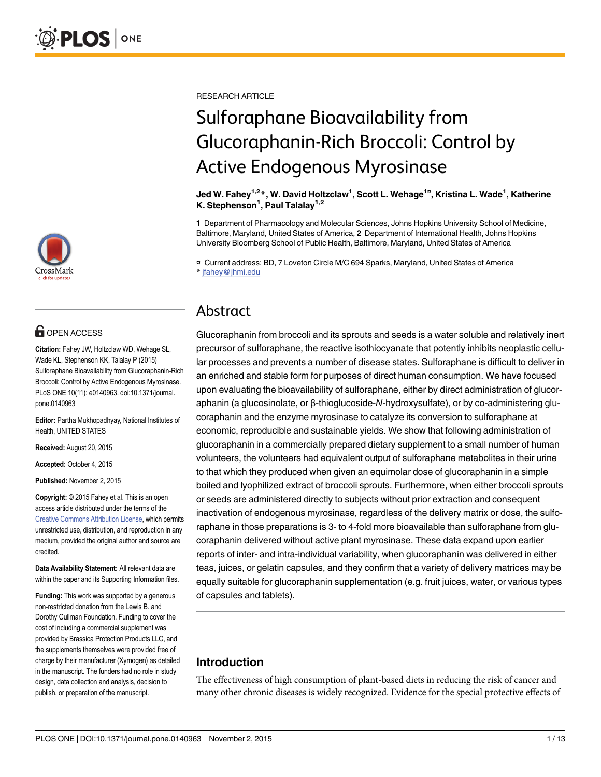

# **OPEN ACCESS**

Citation: Fahey JW, Holtzclaw WD, Wehage SL, Wade KL, Stephenson KK, Talalay P (2015) Sulforaphane Bioavailability from Glucoraphanin-Rich Broccoli: Control by Active Endogenous Myrosinase. PLoS ONE 10(11): e0140963. doi:10.1371/journal. pone.0140963

Editor: Partha Mukhopadhyay, National Institutes of Health, UNITED STATES

Received: August 20, 2015

Accepted: October 4, 2015

Published: November 2, 2015

Copyright: © 2015 Fahey et al. This is an open access article distributed under the terms of the [Creative Commons Attribution License,](http://creativecommons.org/licenses/by/4.0/) which permits unrestricted use, distribution, and reproduction in any medium, provided the original author and source are credited.

Data Availability Statement: All relevant data are within the paper and its Supporting Information files.

Funding: This work was supported by a generous non-restricted donation from the Lewis B. and Dorothy Cullman Foundation. Funding to cover the cost of including a commercial supplement was provided by Brassica Protection Products LLC, and the supplements themselves were provided free of charge by their manufacturer (Xymogen) as detailed in the manuscript. The funders had no role in study design, data collection and analysis, decision to publish, or preparation of the manuscript.

RESEARCH ARTICLE

# Sulforaphane Bioavailability from Glucoraphanin-Rich Broccoli: Control by Active Endogenous Myrosinase

Jed W. Fahey<sup>1,2</sup>\*, W. David Holtzclaw<sup>1</sup>, Scott L. Wehage<sup>1¤</sup>, Kristina L. Wade<sup>1</sup>, Katherine K. Stephenson<sup>1</sup>, Paul Talalay<sup>1,2</sup>

1 Department of Pharmacology and Molecular Sciences, Johns Hopkins University School of Medicine, Baltimore, Maryland, United States of America, 2 Department of International Health, Johns Hopkins University Bloomberg School of Public Health, Baltimore, Maryland, United States of America

¤ Current address: BD, 7 Loveton Circle M/C 694 Sparks, Maryland, United States of America \* jfahey@jhmi.edu

# Abstract

Glucoraphanin from broccoli and its sprouts and seeds is a water soluble and relatively inert precursor of sulforaphane, the reactive isothiocyanate that potently inhibits neoplastic cellular processes and prevents a number of disease states. Sulforaphane is difficult to deliver in an enriched and stable form for purposes of direct human consumption. We have focused upon evaluating the bioavailability of sulforaphane, either by direct administration of glucoraphanin (a glucosinolate, or β-thioglucoside-N-hydroxysulfate), or by co-administering glucoraphanin and the enzyme myrosinase to catalyze its conversion to sulforaphane at economic, reproducible and sustainable yields. We show that following administration of glucoraphanin in a commercially prepared dietary supplement to a small number of human volunteers, the volunteers had equivalent output of sulforaphane metabolites in their urine to that which they produced when given an equimolar dose of glucoraphanin in a simple boiled and lyophilized extract of broccoli sprouts. Furthermore, when either broccoli sprouts or seeds are administered directly to subjects without prior extraction and consequent inactivation of endogenous myrosinase, regardless of the delivery matrix or dose, the sulforaphane in those preparations is 3- to 4-fold more bioavailable than sulforaphane from glucoraphanin delivered without active plant myrosinase. These data expand upon earlier reports of inter- and intra-individual variability, when glucoraphanin was delivered in either teas, juices, or gelatin capsules, and they confirm that a variety of delivery matrices may be equally suitable for glucoraphanin supplementation (e.g. fruit juices, water, or various types of capsules and tablets).

# Introduction

The effectiveness of high consumption of plant-based diets in reducing the risk of cancer and many other chronic diseases is widely recognized. Evidence for the special protective effects of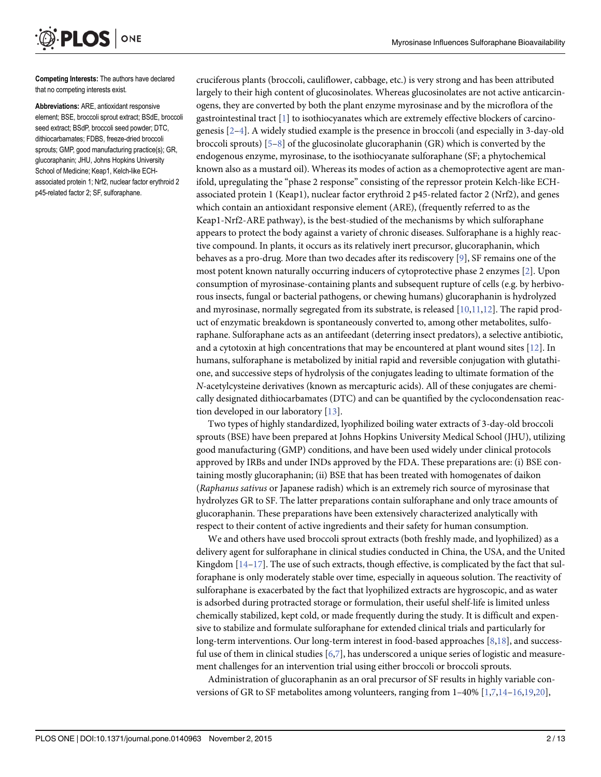Competing Interests: The authors have declared that no competing interests exist.

ONE

<span id="page-1-0"></span>**PLOS** I

Abbreviations: ARE, antioxidant responsive element; BSE, broccoli sprout extract; BSdE, broccoli seed extract; BSdP, broccoli seed powder; DTC, dithiocarbamates; FDBS, freeze-dried broccoli sprouts; GMP, good manufacturing practice(s); GR, glucoraphanin; JHU, Johns Hopkins University School of Medicine; Keap1, Kelch-like ECHassociated protein 1; Nrf2, nuclear factor erythroid 2 p45-related factor 2; SF, sulforaphane.

cruciferous plants (broccoli, cauliflower, cabbage, etc.) is very strong and has been attributed largely to their high content of glucosinolates. Whereas glucosinolates are not active anticarcinogens, they are converted by both the plant enzyme myrosinase and by the microflora of the gastrointestinal tract  $[1]$  to isothiocyanates which are extremely effective blockers of carcinogenesis [[2](#page-11-0)–[4\]](#page-11-0). A widely studied example is the presence in broccoli (and especially in 3-day-old broccoli sprouts)  $[5-8]$  $[5-8]$  $[5-8]$  $[5-8]$  $[5-8]$  of the glucosinolate glucoraphanin (GR) which is converted by the endogenous enzyme, myrosinase, to the isothiocyanate sulforaphane (SF; a phytochemical known also as a mustard oil). Whereas its modes of action as a chemoprotective agent are manifold, upregulating the "phase 2 response" consisting of the repressor protein Kelch-like ECHassociated protein 1 (Keap1), nuclear factor erythroid 2 p45-related factor 2 (Nrf2), and genes which contain an antioxidant responsive element (ARE), (frequently referred to as the Keap1-Nrf2-ARE pathway), is the best-studied of the mechanisms by which sulforaphane appears to protect the body against a variety of chronic diseases. Sulforaphane is a highly reactive compound. In plants, it occurs as its relatively inert precursor, glucoraphanin, which behaves as a pro-drug. More than two decades after its rediscovery [\[9\]](#page-11-0), SF remains one of the most potent known naturally occurring inducers of cytoprotective phase 2 enzymes [\[2\]](#page-11-0). Upon consumption of myrosinase-containing plants and subsequent rupture of cells (e.g. by herbivorous insects, fungal or bacterial pathogens, or chewing humans) glucoraphanin is hydrolyzed and myrosinase, normally segregated from its substrate, is released [[10,11,12\]](#page-11-0). The rapid product of enzymatic breakdown is spontaneously converted to, among other metabolites, sulforaphane. Sulforaphane acts as an antifeedant (deterring insect predators), a selective antibiotic, and a cytotoxin at high concentrations that may be encountered at plant wound sites [[12](#page-11-0)]. In humans, sulforaphane is metabolized by initial rapid and reversible conjugation with glutathione, and successive steps of hydrolysis of the conjugates leading to ultimate formation of the N-acetylcysteine derivatives (known as mercapturic acids). All of these conjugates are chemically designated dithiocarbamates (DTC) and can be quantified by the cyclocondensation reaction developed in our laboratory [[13](#page-11-0)].

Two types of highly standardized, lyophilized boiling water extracts of 3-day-old broccoli sprouts (BSE) have been prepared at Johns Hopkins University Medical School (JHU), utilizing good manufacturing (GMP) conditions, and have been used widely under clinical protocols approved by IRBs and under INDs approved by the FDA. These preparations are: (i) BSE containing mostly glucoraphanin; (ii) BSE that has been treated with homogenates of daikon (Raphanus sativus or Japanese radish) which is an extremely rich source of myrosinase that hydrolyzes GR to SF. The latter preparations contain sulforaphane and only trace amounts of glucoraphanin. These preparations have been extensively characterized analytically with respect to their content of active ingredients and their safety for human consumption.

We and others have used broccoli sprout extracts (both freshly made, and lyophilized) as a delivery agent for sulforaphane in clinical studies conducted in China, the USA, and the United Kingdom  $[14-17]$  $[14-17]$  $[14-17]$  $[14-17]$ . The use of such extracts, though effective, is complicated by the fact that sulforaphane is only moderately stable over time, especially in aqueous solution. The reactivity of sulforaphane is exacerbated by the fact that lyophilized extracts are hygroscopic, and as water is adsorbed during protracted storage or formulation, their useful shelf-life is limited unless chemically stabilized, kept cold, or made frequently during the study. It is difficult and expensive to stabilize and formulate sulforaphane for extended clinical trials and particularly for long-term interventions. Our long-term interest in food-based approaches [\[8](#page-11-0)[,18\]](#page-12-0), and successful use of them in clinical studies [[6](#page-11-0),[7](#page-11-0)], has underscored a unique series of logistic and measurement challenges for an intervention trial using either broccoli or broccoli sprouts.

Administration of glucoraphanin as an oral precursor of SF results in highly variable conversions of GR to SF metabolites among volunteers, ranging from  $1-40\%$  $1-40\%$  [ $1,7,14-16,19,20$  $1,7,14-16,19,20$  $1,7,14-16,19,20$  $1,7,14-16,19,20$  $1,7,14-16,19,20$  $1,7,14-16,19,20$  $1,7,14-16,19,20$ ],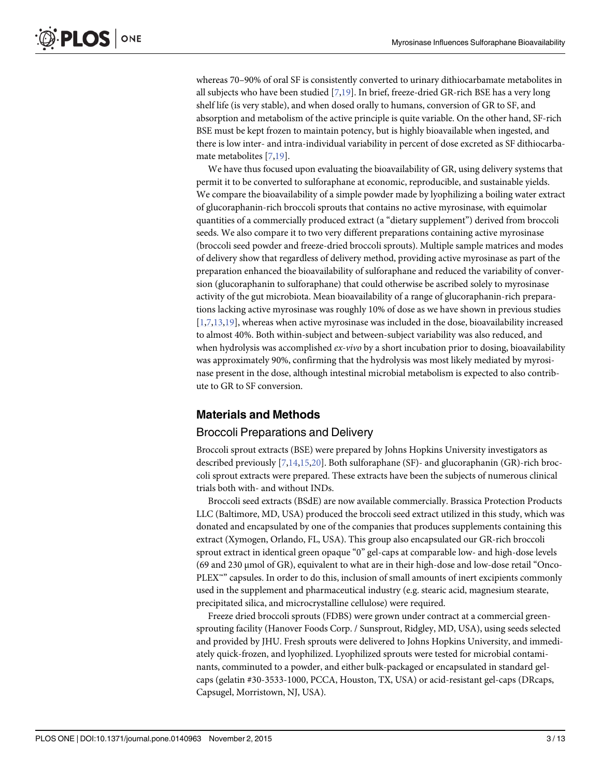<span id="page-2-0"></span>whereas 70–90% of oral SF is consistently converted to urinary dithiocarbamate metabolites in all subjects who have been studied [[7,](#page-11-0)[19](#page-12-0)]. In brief, freeze-dried GR-rich BSE has a very long shelf life (is very stable), and when dosed orally to humans, conversion of GR to SF, and absorption and metabolism of the active principle is quite variable. On the other hand, SF-rich BSE must be kept frozen to maintain potency, but is highly bioavailable when ingested, and there is low inter- and intra-individual variability in percent of dose excreted as SF dithiocarbamate metabolites [\[7](#page-11-0)[,19\]](#page-12-0).

We have thus focused upon evaluating the bioavailability of GR, using delivery systems that permit it to be converted to sulforaphane at economic, reproducible, and sustainable yields. We compare the bioavailability of a simple powder made by lyophilizing a boiling water extract of glucoraphanin-rich broccoli sprouts that contains no active myrosinase, with equimolar quantities of a commercially produced extract (a "dietary supplement") derived from broccoli seeds. We also compare it to two very different preparations containing active myrosinase (broccoli seed powder and freeze-dried broccoli sprouts). Multiple sample matrices and modes of delivery show that regardless of delivery method, providing active myrosinase as part of the preparation enhanced the bioavailability of sulforaphane and reduced the variability of conversion (glucoraphanin to sulforaphane) that could otherwise be ascribed solely to myrosinase activity of the gut microbiota. Mean bioavailability of a range of glucoraphanin-rich preparations lacking active myrosinase was roughly 10% of dose as we have shown in previous studies [\[1,7,13](#page-11-0)[,19\]](#page-12-0), whereas when active myrosinase was included in the dose, bioavailability increased to almost 40%. Both within-subject and between-subject variability was also reduced, and when hydrolysis was accomplished  $ex$ -vivo by a short incubation prior to dosing, bioavailability was approximately 90%, confirming that the hydrolysis was most likely mediated by myrosinase present in the dose, although intestinal microbial metabolism is expected to also contribute to GR to SF conversion.

# Materials and Methods

#### Broccoli Preparations and Delivery

Broccoli sprout extracts (BSE) were prepared by Johns Hopkins University investigators as described previously [[7,14](#page-11-0),[15](#page-11-0)[,20](#page-12-0)]. Both sulforaphane (SF)- and glucoraphanin (GR)-rich broccoli sprout extracts were prepared. These extracts have been the subjects of numerous clinical trials both with- and without INDs.

Broccoli seed extracts (BSdE) are now available commercially. Brassica Protection Products LLC (Baltimore, MD, USA) produced the broccoli seed extract utilized in this study, which was donated and encapsulated by one of the companies that produces supplements containing this extract (Xymogen, Orlando, FL, USA). This group also encapsulated our GR-rich broccoli sprout extract in identical green opaque "0" gel-caps at comparable low- and high-dose levels  $(69 \text{ and } 230 \text{ µmol of GR})$ , equivalent to what are in their high-dose and low-dose retail "Onco-PLEX<sup>™</sup> capsules. In order to do this, inclusion of small amounts of inert excipients commonly used in the supplement and pharmaceutical industry (e.g. stearic acid, magnesium stearate, precipitated silica, and microcrystalline cellulose) were required.

Freeze dried broccoli sprouts (FDBS) were grown under contract at a commercial greensprouting facility (Hanover Foods Corp. / Sunsprout, Ridgley, MD, USA), using seeds selected and provided by JHU. Fresh sprouts were delivered to Johns Hopkins University, and immediately quick-frozen, and lyophilized. Lyophilized sprouts were tested for microbial contaminants, comminuted to a powder, and either bulk-packaged or encapsulated in standard gelcaps (gelatin #30-3533-1000, PCCA, Houston, TX, USA) or acid-resistant gel-caps (DRcaps, Capsugel, Morristown, NJ, USA).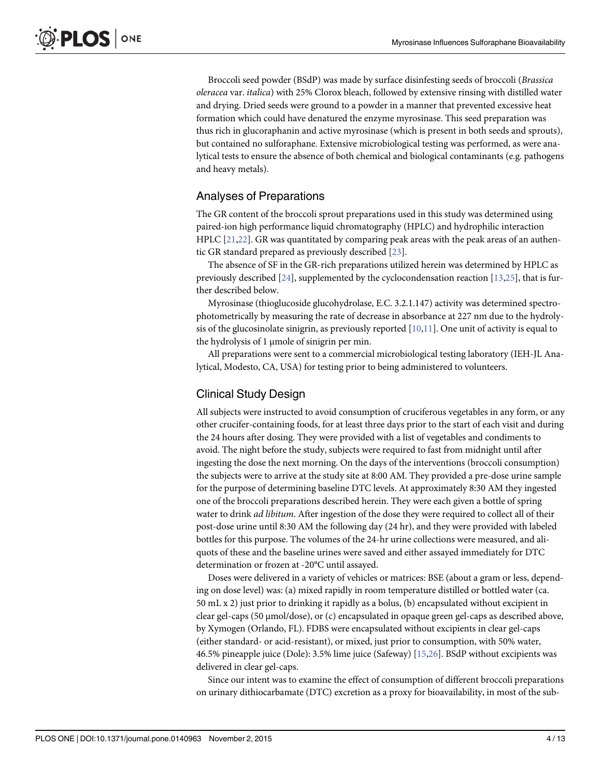<span id="page-3-0"></span>Broccoli seed powder (BSdP) was made by surface disinfesting seeds of broccoli (Brassica oleracea var. italica) with 25% Clorox bleach, followed by extensive rinsing with distilled water and drying. Dried seeds were ground to a powder in a manner that prevented excessive heat formation which could have denatured the enzyme myrosinase. This seed preparation was thus rich in glucoraphanin and active myrosinase (which is present in both seeds and sprouts), but contained no sulforaphane. Extensive microbiological testing was performed, as were analytical tests to ensure the absence of both chemical and biological contaminants (e.g. pathogens and heavy metals).

# Analyses of Preparations

The GR content of the broccoli sprout preparations used in this study was determined using paired-ion high performance liquid chromatography (HPLC) and hydrophilic interaction HPLC [[21](#page-12-0),[22](#page-12-0)]. GR was quantitated by comparing peak areas with the peak areas of an authentic GR standard prepared as previously described [[23](#page-12-0)].

The absence of SF in the GR-rich preparations utilized herein was determined by HPLC as previously described  $[24]$  $[24]$  $[24]$ , supplemented by the cyclocondensation reaction  $[13,25]$  $[13,25]$ , that is further described below.

Myrosinase (thioglucoside glucohydrolase, E.C. 3.2.1.147) activity was determined spectrophotometrically by measuring the rate of decrease in absorbance at 227 nm due to the hydrolysis of the glucosinolate sinigrin, as previously reported  $[10,11]$  $[10,11]$  $[10,11]$ . One unit of activity is equal to the hydrolysis of 1 μmole of sinigrin per min.

All preparations were sent to a commercial microbiological testing laboratory (IEH-JL Analytical, Modesto, CA, USA) for testing prior to being administered to volunteers.

#### Clinical Study Design

All subjects were instructed to avoid consumption of cruciferous vegetables in any form, or any other crucifer-containing foods, for at least three days prior to the start of each visit and during the 24 hours after dosing. They were provided with a list of vegetables and condiments to avoid. The night before the study, subjects were required to fast from midnight until after ingesting the dose the next morning. On the days of the interventions (broccoli consumption) the subjects were to arrive at the study site at 8:00 AM. They provided a pre-dose urine sample for the purpose of determining baseline DTC levels. At approximately 8:30 AM they ingested one of the broccoli preparations described herein. They were each given a bottle of spring water to drink *ad libitum*. After ingestion of the dose they were required to collect all of their post-dose urine until 8:30 AM the following day (24 hr), and they were provided with labeled bottles for this purpose. The volumes of the 24-hr urine collections were measured, and aliquots of these and the baseline urines were saved and either assayed immediately for DTC determination or frozen at -20°C until assayed.

Doses were delivered in a variety of vehicles or matrices: BSE (about a gram or less, depending on dose level) was: (a) mixed rapidly in room temperature distilled or bottled water (ca. 50 mL x 2) just prior to drinking it rapidly as a bolus, (b) encapsulated without excipient in clear gel-caps (50 μmol/dose), or (c) encapsulated in opaque green gel-caps as described above, by Xymogen (Orlando, FL). FDBS were encapsulated without excipients in clear gel-caps (either standard- or acid-resistant), or mixed, just prior to consumption, with 50% water, 46.5% pineapple juice (Dole): 3.5% lime juice (Safeway) [[15](#page-11-0),[26](#page-12-0)]. BSdP without excipients was delivered in clear gel-caps.

Since our intent was to examine the effect of consumption of different broccoli preparations on urinary dithiocarbamate (DTC) excretion as a proxy for bioavailability, in most of the sub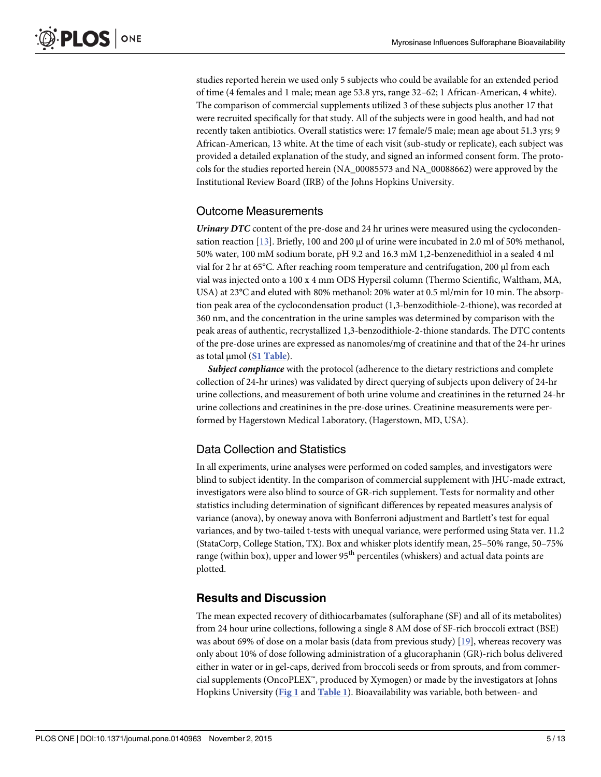<span id="page-4-0"></span>studies reported herein we used only 5 subjects who could be available for an extended period of time (4 females and 1 male; mean age 53.8 yrs, range 32–62; 1 African-American, 4 white). The comparison of commercial supplements utilized 3 of these subjects plus another 17 that were recruited specifically for that study. All of the subjects were in good health, and had not recently taken antibiotics. Overall statistics were: 17 female/5 male; mean age about 51.3 yrs; 9 African-American, 13 white. At the time of each visit (sub-study or replicate), each subject was provided a detailed explanation of the study, and signed an informed consent form. The protocols for the studies reported herein (NA\_00085573 and NA\_00088662) were approved by the Institutional Review Board (IRB) of the Johns Hopkins University.

#### Outcome Measurements

Urinary DTC content of the pre-dose and 24 hr urines were measured using the cyclocondensation reaction [\[13\]](#page-11-0). Briefly, 100 and 200 μl of urine were incubated in 2.0 ml of 50% methanol, 50% water, 100 mM sodium borate, pH 9.2 and 16.3 mM 1,2-benzenedithiol in a sealed 4 ml vial for 2 hr at 65°C. After reaching room temperature and centrifugation, 200 μl from each vial was injected onto a 100 x 4 mm ODS Hypersil column (Thermo Scientific, Waltham, MA, USA) at 23°C and eluted with 80% methanol: 20% water at 0.5 ml/min for 10 min. The absorption peak area of the cyclocondensation product (1,3-benzodithiole-2-thione), was recorded at 360 nm, and the concentration in the urine samples was determined by comparison with the peak areas of authentic, recrystallized 1,3-benzodithiole-2-thione standards. The DTC contents of the pre-dose urines are expressed as nanomoles/mg of creatinine and that of the 24-hr urines as total  $μ$ mol  $(S1$  Table).

**Subject compliance** with the protocol (adherence to the dietary restrictions and complete collection of 24-hr urines) was validated by direct querying of subjects upon delivery of 24-hr urine collections, and measurement of both urine volume and creatinines in the returned 24-hr urine collections and creatinines in the pre-dose urines. Creatinine measurements were performed by Hagerstown Medical Laboratory, (Hagerstown, MD, USA).

# Data Collection and Statistics

In all experiments, urine analyses were performed on coded samples, and investigators were blind to subject identity. In the comparison of commercial supplement with JHU-made extract, investigators were also blind to source of GR-rich supplement. Tests for normality and other statistics including determination of significant differences by repeated measures analysis of variance (anova), by oneway anova with Bonferroni adjustment and Bartlett's test for equal variances, and by two-tailed t-tests with unequal variance, were performed using Stata ver. 11.2 (StataCorp, College Station, TX). Box and whisker plots identify mean, 25–50% range, 50–75% range (within box), upper and lower  $95<sup>th</sup>$  percentiles (whiskers) and actual data points are plotted.

# Results and Discussion

The mean expected recovery of dithiocarbamates (sulforaphane (SF) and all of its metabolites) from 24 hour urine collections, following a single 8 AM dose of SF-rich broccoli extract (BSE) was about 69% of dose on a molar basis (data from previous study) [[19](#page-12-0)], whereas recovery was only about 10% of dose following administration of a glucoraphanin (GR)-rich bolus delivered either in water or in gel-caps, derived from broccoli seeds or from sprouts, and from commercial supplements (OncoPLEX™, produced by Xymogen) or made by the investigators at Johns Hopkins University ([Fig 1](#page-5-0) and [Table 1](#page-6-0)). Bioavailability was variable, both between- and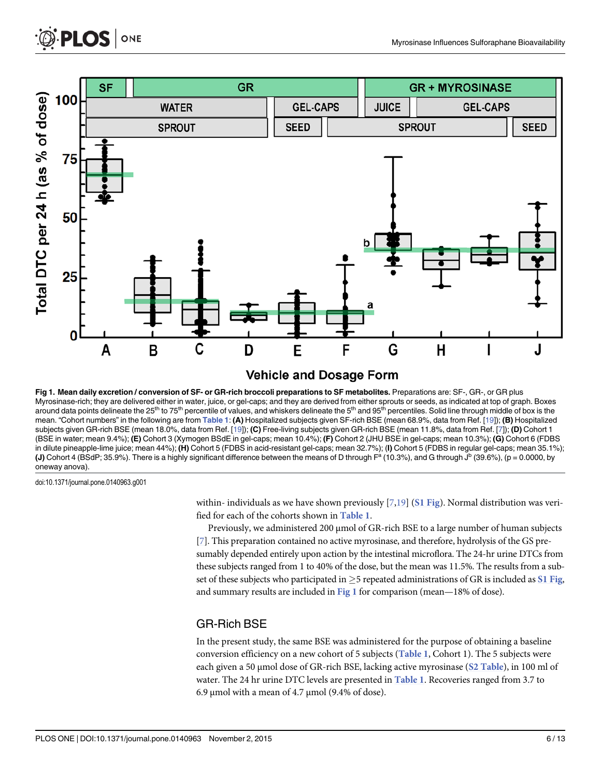<span id="page-5-0"></span>



[Fig 1. M](#page-4-0)ean daily excretion / conversion of SF- or GR-rich broccoli preparations to SF metabolites. Preparations are: SF-, GR-, or GR plus Myrosinase-rich; they are delivered either in water, juice, or gel-caps; and they are derived from either sprouts or seeds, as indicated at top of graph. Boxes around data points delineate the 25<sup>th</sup> to 75<sup>th</sup> percentile of values, and whiskers delineate the 5<sup>th</sup> and 95<sup>th</sup> percentiles. Solid line through middle of box is the mean. "Cohort numbers" in the following are from [Table 1](#page-6-0): (A) Hospitalized subjects given SF-rich BSE (mean 68.9%, data from Ref. [[19](#page-12-0)]); (B) Hospitalized subjects given GR-rich BSE (mean 18.0%, data from Ref. [[19](#page-12-0)]); (C) Free-living subjects given GR-rich BSE (mean 11.8%, data from Ref. [[7](#page-11-0)]); (D) Cohort 1 (BSE in water; mean 9.4%); (E) Cohort 3 (Xymogen BSdE in gel-caps; mean 10.4%); (F) Cohort 2 (JHU BSE in gel-caps; mean 10.3%); (G) Cohort 6 (FDBS in dilute pineapple-lime juice; mean 44%); (H) Cohort 5 (FDBS in acid-resistant gel-caps; mean 32.7%); (I) Cohort 5 (FDBS in regular gel-caps; mean 35.1%); (J) Cohort 4 (BSdP; 35.9%). There is a highly significant difference between the means of D through  $F^a$  (10.3%), and G through  $J^b$  (39.6%), (p = 0.0000, by oneway anova).

doi:10.1371/journal.pone.0140963.g001

within- individuals as we have shown previously  $[7,19]$  $[7,19]$  $[7,19]$  ([S1 Fig](#page-10-0)). Normal distribution was verified for each of the cohorts shown in [Table 1](#page-6-0).

Previously, we administered 200 μmol of GR-rich BSE to a large number of human subjects [\[7](#page-11-0)]. This preparation contained no active myrosinase, and therefore, hydrolysis of the GS presumably depended entirely upon action by the intestinal microflora. The 24-hr urine DTCs from these subjects ranged from 1 to 40% of the dose, but the mean was 11.5%. The results from a subset of these subjects who participated in  $\geq$ 5 repeated administrations of GR is included as [S1 Fig](#page-10-0), and summary results are included in  $Fig 1$  for comparison (mean—18% of dose).

#### GR-Rich BSE

In the present study, the same BSE was administered for the purpose of obtaining a baseline conversion efficiency on a new cohort of 5 subjects ([Table 1](#page-6-0), Cohort 1). The 5 subjects were each given a 50 μmol dose of GR-rich BSE, lacking active myrosinase ([S2 Table](#page-10-0)), in 100 ml of water. The 24 hr urine DTC levels are presented in [Table 1](#page-6-0). Recoveries ranged from 3.7 to 6.9 μmol with a mean of 4.7 μmol (9.4% of dose).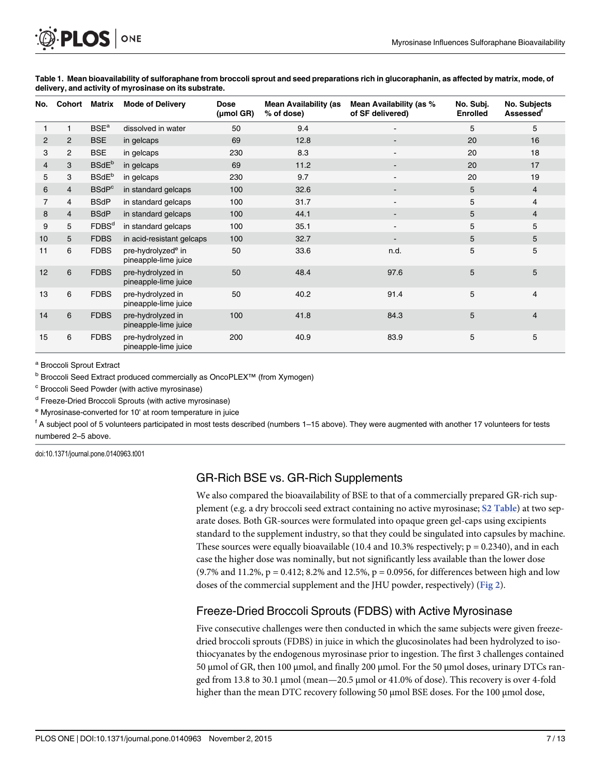<span id="page-6-0"></span>

| No. | Cohort         | Matrix                   | <b>Mode of Delivery</b>                                | <b>Dose</b><br>$(\mu \text{mol} \text{ GR})$ | <b>Mean Availability (as</b><br>% of dose) | Mean Availability (as %<br>of SF delivered) | No. Subj.<br><b>Enrolled</b> | No. Subjects<br><b>Assessed<sup>t</sup></b> |
|-----|----------------|--------------------------|--------------------------------------------------------|----------------------------------------------|--------------------------------------------|---------------------------------------------|------------------------------|---------------------------------------------|
| 1   |                | BSE <sup>a</sup>         | dissolved in water                                     | 50                                           | 9.4                                        |                                             | 5                            | 5                                           |
| 2   | $\mathbf{2}$   | <b>BSE</b>               | in gelcaps                                             | 69                                           | 12.8                                       |                                             | 20                           | 16                                          |
| 3   | 2              | <b>BSE</b>               | in gelcaps                                             | 230                                          | 8.3                                        |                                             | 20                           | 18                                          |
| 4   | 3              | <b>BSdE</b> <sup>b</sup> | in gelcaps                                             | 69                                           | 11.2                                       |                                             | 20                           | 17                                          |
| 5   | 3              | <b>BSdE</b> <sup>b</sup> | in gelcaps                                             | 230                                          | 9.7                                        |                                             | 20                           | 19                                          |
| 6   | 4              | <b>BSdP<sup>c</sup></b>  | in standard gelcaps                                    | 100                                          | 32.6                                       |                                             | 5                            | $\overline{4}$                              |
| 7   | 4              | <b>BSdP</b>              | in standard gelcaps                                    | 100                                          | 31.7                                       |                                             | 5                            | 4                                           |
| 8   | $\overline{4}$ | <b>BSdP</b>              | in standard gelcaps                                    | 100                                          | 44.1                                       |                                             | 5                            | $\overline{4}$                              |
| 9   | 5              | FDBS <sup>d</sup>        | in standard gelcaps                                    | 100                                          | 35.1                                       |                                             | 5                            | 5                                           |
| 10  | 5              | <b>FDBS</b>              | in acid-resistant gelcaps                              | 100                                          | 32.7                                       |                                             | 5                            | 5                                           |
| 11  | 6              | <b>FDBS</b>              | pre-hydrolyzed <sup>e</sup> in<br>pineapple-lime juice | 50                                           | 33.6                                       | n.d.                                        | 5                            | 5                                           |
| 12  | 6              | <b>FDBS</b>              | pre-hydrolyzed in<br>pineapple-lime juice              | 50                                           | 48.4                                       | 97.6                                        | 5                            | 5                                           |
| 13  | 6              | <b>FDBS</b>              | pre-hydrolyzed in<br>pineapple-lime juice              | 50                                           | 40.2                                       | 91.4                                        | 5                            | 4                                           |
| 14  | 6              | <b>FDBS</b>              | pre-hydrolyzed in<br>pineapple-lime juice              | 100                                          | 41.8                                       | 84.3                                        | 5                            | $\overline{4}$                              |
| 15  | 6              | <b>FDBS</b>              | pre-hydrolyzed in<br>pineapple-lime juice              | 200                                          | 40.9                                       | 83.9                                        | 5                            | 5                                           |

[Table 1.](#page-4-0) Mean bioavailability of sulforaphane from broccoli sprout and seed preparations rich in glucoraphanin, as affected by matrix, mode, of delivery, and activity of myrosinase on its substrate.

<sup>a</sup> Broccoli Sprout Extract

**b** Broccoli Seed Extract produced commercially as OncoPLEX<sup>™</sup> (from Xymogen)

<sup>c</sup> Broccoli Seed Powder (with active myrosinase)

<sup>d</sup> Freeze-Dried Broccoli Sprouts (with active myrosinase)

<sup>e</sup> Myrosinase-converted for 10' at room temperature in juice

f A subject pool of 5 volunteers participated in most tests described (numbers 1–15 above). They were augmented with another 17 volunteers for tests numbered 2–5 above.

doi:10.1371/journal.pone.0140963.t001

# GR-Rich BSE vs. GR-Rich Supplements

We also compared the bioavailability of BSE to that of a commercially prepared GR-rich sup-plement (e.g. a dry broccoli seed extract containing no active myrosinase; [S2 Table](#page-10-0)) at two separate doses. Both GR-sources were formulated into opaque green gel-caps using excipients standard to the supplement industry, so that they could be singulated into capsules by machine. These sources were equally bioavailable (10.4 and 10.3% respectively;  $p = 0.2340$ ), and in each case the higher dose was nominally, but not significantly less available than the lower dose (9.7% and 11.2%,  $p = 0.412$ ; 8.2% and 12.5%,  $p = 0.0956$ , for differences between high and low doses of the commercial supplement and the JHU powder, respectively) ([Fig 2](#page-7-0)).

# Freeze-Dried Broccoli Sprouts (FDBS) with Active Myrosinase

Five consecutive challenges were then conducted in which the same subjects were given freezedried broccoli sprouts (FDBS) in juice in which the glucosinolates had been hydrolyzed to isothiocyanates by the endogenous myrosinase prior to ingestion. The first 3 challenges contained 50 μmol of GR, then 100 μmol, and finally 200 μmol. For the 50 μmol doses, urinary DTCs ranged from 13.8 to 30.1 μmol (mean—20.5 μmol or 41.0% of dose). This recovery is over 4-fold higher than the mean DTC recovery following 50 μmol BSE doses. For the 100 μmol dose,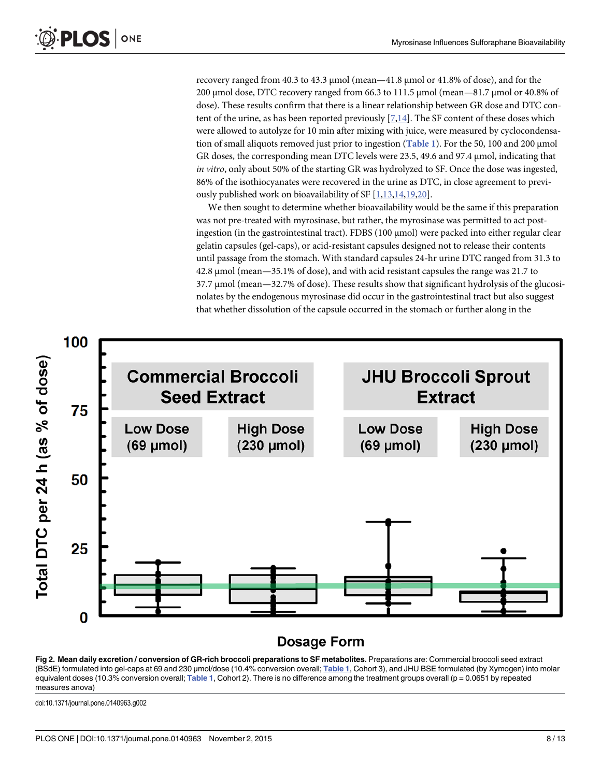recovery ranged from 40.3 to 43.3 μmol (mean—41.8 μmol or 41.8% of dose), and for the 200 μmol dose, DTC recovery ranged from 66.3 to 111.5 μmol (mean—81.7 μmol or 40.8% of dose). These results confirm that there is a linear relationship between GR dose and DTC content of the urine, as has been reported previously  $[7,14]$  $[7,14]$ . The SF content of these doses which were allowed to autolyze for 10 min after mixing with juice, were measured by cyclocondensation of small aliquots removed just prior to ingestion ([Table 1](#page-6-0)). For the 50, 100 and 200 μmol GR doses, the corresponding mean DTC levels were 23.5, 49.6 and 97.4 μmol, indicating that in vitro, only about 50% of the starting GR was hydrolyzed to SF. Once the dose was ingested, 86% of the isothiocyanates were recovered in the urine as DTC, in close agreement to previ-ously published work on bioavailability of SF [\[1,13,14](#page-11-0),[19,20](#page-12-0)].

We then sought to determine whether bioavailability would be the same if this preparation was not pre-treated with myrosinase, but rather, the myrosinase was permitted to act postingestion (in the gastrointestinal tract). FDBS (100  $\mu$ mol) were packed into either regular clear gelatin capsules (gel-caps), or acid-resistant capsules designed not to release their contents until passage from the stomach. With standard capsules 24-hr urine DTC ranged from 31.3 to 42.8 μmol (mean—35.1% of dose), and with acid resistant capsules the range was 21.7 to 37.7 μmol (mean—32.7% of dose). These results show that significant hydrolysis of the glucosinolates by the endogenous myrosinase did occur in the gastrointestinal tract but also suggest that whether dissolution of the capsule occurred in the stomach or further along in the



# **Dosage Form**

[Fig 2. M](#page-6-0)ean daily excretion / conversion of GR-rich broccoli preparations to SF metabolites. Preparations are: Commercial broccoli seed extract (BSdE) formulated into gel-caps at 69 and 230 µmol/dose (10.4% conversion overall; [Table 1](#page-6-0), Cohort 3), and JHU BSE formulated (by Xymogen) into molar equivalent doses (10.3% conversion overall; [Table 1](#page-6-0), Cohort 2). There is no difference among the treatment groups overall ( $p = 0.0651$  by repeated measures anova)

doi:10.1371/journal.pone.0140963.g002

<span id="page-7-0"></span>PLOS ONE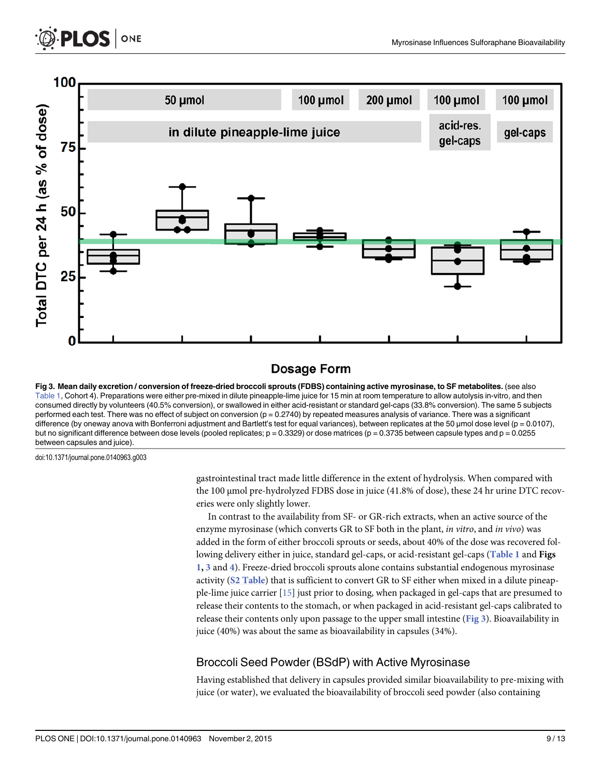<span id="page-8-0"></span>



# Dosage Form

Fig 3. Mean daily excretion / conversion of freeze-dried broccoli sprouts (FDBS) containing active myrosinase, to SF metabolites. (see also [Table 1,](#page-6-0) Cohort 4). Preparations were either pre-mixed in dilute pineapple-lime juice for 15 min at room temperature to allow autolysis in-vitro, and then consumed directly by volunteers (40.5% conversion), or swallowed in either acid-resistant or standard gel-caps (33.8% conversion). The same 5 subjects performed each test. There was no effect of subject on conversion ( $p = 0.2740$ ) by repeated measures analysis of variance. There was a significant difference (by oneway anova with Bonferroni adjustment and Bartlett's test for equal variances), between replicates at the 50 µmol dose level (p = 0.0107), but no significant difference between dose levels (pooled replicates;  $p = 0.3329$ ) or dose matrices ( $p = 0.3735$  between capsule types and  $p = 0.0255$ between capsules and juice).

doi:10.1371/journal.pone.0140963.g003

gastrointestinal tract made little difference in the extent of hydrolysis. When compared with the 100 μmol pre-hydrolyzed FDBS dose in juice (41.8% of dose), these 24 hr urine DTC recoveries were only slightly lower.

In contrast to the availability from SF- or GR-rich extracts, when an active source of the enzyme myrosinase (which converts GR to SF both in the plant, in vitro, and in vivo) was added in the form of either broccoli sprouts or seeds, about 40% of the dose was recovered fol-lowing delivery either in juice, standard gel-caps, or acid-resistant gel-caps ([Table 1](#page-6-0) and Figs [1](#page-5-0), 3 and [4](#page-9-0)). Freeze-dried broccoli sprouts alone contains substantial endogenous myrosinase activity ([S2 Table](#page-10-0)) that is sufficient to convert GR to SF either when mixed in a dilute pineapple-lime juice carrier [[15](#page-11-0)] just prior to dosing, when packaged in gel-caps that are presumed to release their contents to the stomach, or when packaged in acid-resistant gel-caps calibrated to release their contents only upon passage to the upper small intestine (Fig 3). Bioavailability in juice (40%) was about the same as bioavailability in capsules (34%).

# Broccoli Seed Powder (BSdP) with Active Myrosinase

Having established that delivery in capsules provided similar bioavailability to pre-mixing with juice (or water), we evaluated the bioavailability of broccoli seed powder (also containing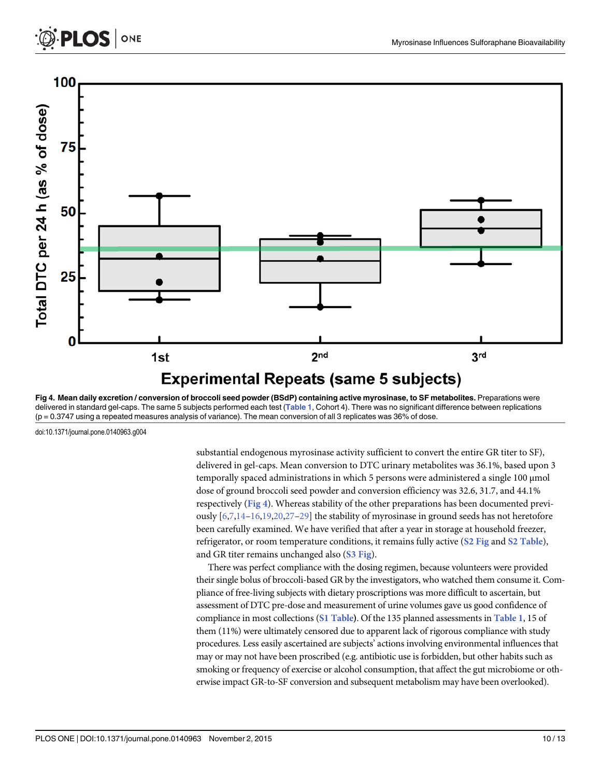<span id="page-9-0"></span>

[Fig 4. M](#page-8-0)ean daily excretion / conversion of broccoli seed powder (BSdP) containing active myrosinase, to SF metabolites. Preparations were delivered in standard gel-caps. The same 5 subjects performed each test ([Table 1](#page-6-0), Cohort 4). There was no significant difference between replications  $(p = 0.3747)$  using a repeated measures analysis of variance). The mean conversion of all 3 replicates was 36% of dose.

doi:10.1371/journal.pone.0140963.g004

**PLOS** 

ONE

substantial endogenous myrosinase activity sufficient to convert the entire GR titer to SF), delivered in gel-caps. Mean conversion to DTC urinary metabolites was 36.1%, based upon 3 temporally spaced administrations in which 5 persons were administered a single 100 μmol dose of ground broccoli seed powder and conversion efficiency was 32.6, 31.7, and 44.1% respectively (Fig 4). Whereas stability of the other preparations has been documented previously  $[6,7,14-16,19,20,27-29]$  $[6,7,14-16,19,20,27-29]$  $[6,7,14-16,19,20,27-29]$  $[6,7,14-16,19,20,27-29]$  $[6,7,14-16,19,20,27-29]$  $[6,7,14-16,19,20,27-29]$  $[6,7,14-16,19,20,27-29]$  $[6,7,14-16,19,20,27-29]$  $[6,7,14-16,19,20,27-29]$  $[6,7,14-16,19,20,27-29]$  $[6,7,14-16,19,20,27-29]$  $[6,7,14-16,19,20,27-29]$  $[6,7,14-16,19,20,27-29]$  the stability of myrosinase in ground seeds has not heretofore been carefully examined. We have verified that after a year in storage at household freezer, refrigerator, or room temperature conditions, it remains fully active (S<sub>2</sub> Fig and S<sub>2</sub> Table), and GR titer remains unchanged also ([S3 Fig](#page-10-0)).

There was perfect compliance with the dosing regimen, because volunteers were provided their single bolus of broccoli-based GR by the investigators, who watched them consume it. Compliance of free-living subjects with dietary proscriptions was more difficult to ascertain, but assessment of DTC pre-dose and measurement of urine volumes gave us good confidence of compliance in most collections ([S1 Table](#page-10-0)). Of the 135 planned assessments in [Table 1](#page-6-0), 15 of them (11%) were ultimately censored due to apparent lack of rigorous compliance with study procedures. Less easily ascertained are subjects' actions involving environmental influences that may or may not have been proscribed (e.g. antibiotic use is forbidden, but other habits such as smoking or frequency of exercise or alcohol consumption, that affect the gut microbiome or otherwise impact GR-to-SF conversion and subsequent metabolism may have been overlooked).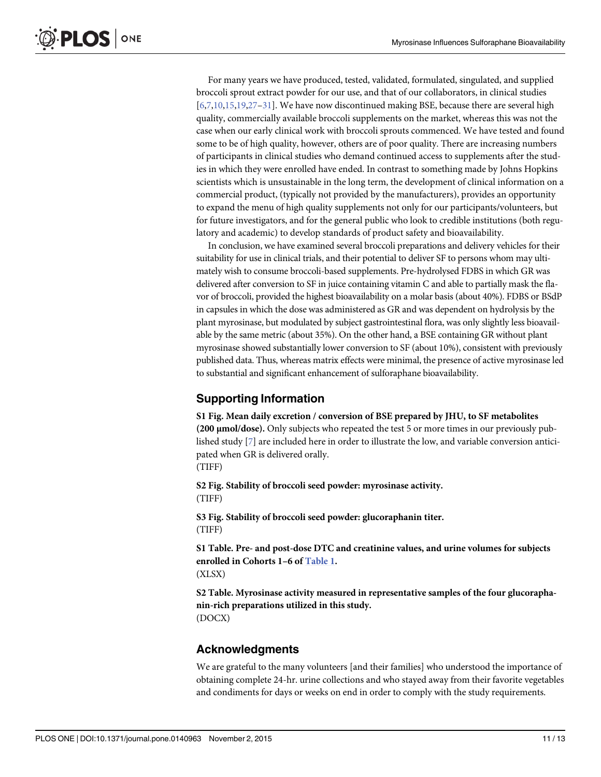<span id="page-10-0"></span>For many years we have produced, tested, validated, formulated, singulated, and supplied broccoli sprout extract powder for our use, and that of our collaborators, in clinical studies  $[6,7,10,15,19,27-31]$  $[6,7,10,15,19,27-31]$  $[6,7,10,15,19,27-31]$  $[6,7,10,15,19,27-31]$  $[6,7,10,15,19,27-31]$ . We have now discontinued making BSE, because there are several high quality, commercially available broccoli supplements on the market, whereas this was not the case when our early clinical work with broccoli sprouts commenced. We have tested and found some to be of high quality, however, others are of poor quality. There are increasing numbers of participants in clinical studies who demand continued access to supplements after the studies in which they were enrolled have ended. In contrast to something made by Johns Hopkins scientists which is unsustainable in the long term, the development of clinical information on a commercial product, (typically not provided by the manufacturers), provides an opportunity to expand the menu of high quality supplements not only for our participants/volunteers, but for future investigators, and for the general public who look to credible institutions (both regulatory and academic) to develop standards of product safety and bioavailability.

In conclusion, we have examined several broccoli preparations and delivery vehicles for their suitability for use in clinical trials, and their potential to deliver SF to persons whom may ultimately wish to consume broccoli-based supplements. Pre-hydrolysed FDBS in which GR was delivered after conversion to SF in juice containing vitamin C and able to partially mask the flavor of broccoli, provided the highest bioavailability on a molar basis (about 40%). FDBS or BSdP in capsules in which the dose was administered as GR and was dependent on hydrolysis by the plant myrosinase, but modulated by subject gastrointestinal flora, was only slightly less bioavailable by the same metric (about 35%). On the other hand, a BSE containing GR without plant myrosinase showed substantially lower conversion to SF (about 10%), consistent with previously published data. Thus, whereas matrix effects were minimal, the presence of active myrosinase led to substantial and significant enhancement of sulforaphane bioavailability.

# Supporting Information

[S1 Fig.](http://www.plosone.org/article/fetchSingleRepresentation.action?uri=info:doi/10.1371/journal.pone.0140963.s001) Mean daily excretion / conversion of BSE prepared by JHU, to SF metabolites (200 μmol/dose). Only subjects who repeated the test 5 or more times in our previously published study [[7\]](#page-11-0) are included here in order to illustrate the low, and variable conversion anticipated when GR is delivered orally. (TIFF)

[S2 Fig.](http://www.plosone.org/article/fetchSingleRepresentation.action?uri=info:doi/10.1371/journal.pone.0140963.s002) Stability of broccoli seed powder: myrosinase activity. (TIFF)

[S3 Fig.](http://www.plosone.org/article/fetchSingleRepresentation.action?uri=info:doi/10.1371/journal.pone.0140963.s003) Stability of broccoli seed powder: glucoraphanin titer. (TIFF)

[S1 Table](http://www.plosone.org/article/fetchSingleRepresentation.action?uri=info:doi/10.1371/journal.pone.0140963.s004). Pre- and post-dose DTC and creatinine values, and urine volumes for subjects enrolled in Cohorts 1–6 of [Table 1](#page-6-0). (XLSX)

[S2 Table](http://www.plosone.org/article/fetchSingleRepresentation.action?uri=info:doi/10.1371/journal.pone.0140963.s005). Myrosinase activity measured in representative samples of the four glucoraphanin-rich preparations utilized in this study. (DOCX)

# Acknowledgments

We are grateful to the many volunteers [and their families] who understood the importance of obtaining complete 24-hr. urine collections and who stayed away from their favorite vegetables and condiments for days or weeks on end in order to comply with the study requirements.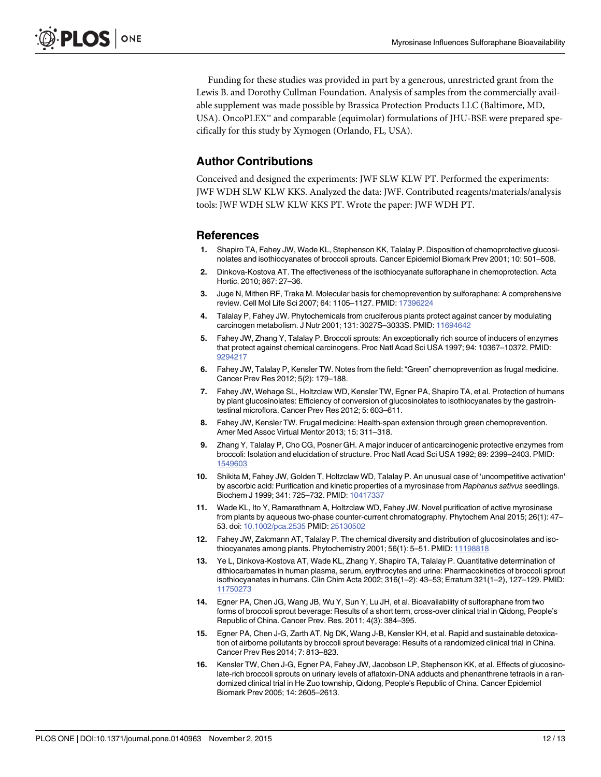<span id="page-11-0"></span>Funding for these studies was provided in part by a generous, unrestricted grant from the Lewis B. and Dorothy Cullman Foundation. Analysis of samples from the commercially available supplement was made possible by Brassica Protection Products LLC (Baltimore, MD, USA). OncoPLEX™ and comparable (equimolar) formulations of JHU-BSE were prepared specifically for this study by Xymogen (Orlando, FL, USA).

# Author Contributions

Conceived and designed the experiments: JWF SLW KLW PT. Performed the experiments: JWF WDH SLW KLW KKS. Analyzed the data: JWF. Contributed reagents/materials/analysis tools: JWF WDH SLW KLW KKS PT. Wrote the paper: JWF WDH PT.

#### References

- [1.](#page-1-0) Shapiro TA, Fahey JW, Wade KL, Stephenson KK, Talalay P. Disposition of chemoprotective glucosinolates and isothiocyanates of broccoli sprouts. Cancer Epidemiol Biomark Prev 2001; 10: 501–508.
- [2.](#page-1-0) Dinkova-Kostova AT. The effectiveness of the isothiocyanate sulforaphane in chemoprotection. Acta Hortic. 2010; 867: 27–36.
- 3. Juge N, Mithen RF, Traka M. Molecular basis for chemoprevention by sulforaphane: A comprehensive review. Cell Mol Life Sci 2007; 64: 1105-1127. PMID: [17396224](http://www.ncbi.nlm.nih.gov/pubmed/17396224)
- [4.](#page-1-0) Talalay P, Fahey JW. Phytochemicals from cruciferous plants protect against cancer by modulating carcinogen metabolism. J Nutr 2001; 131: 3027S–3033S. PMID: [11694642](http://www.ncbi.nlm.nih.gov/pubmed/11694642)
- [5.](#page-1-0) Fahey JW, Zhang Y, Talalay P. Broccoli sprouts: An exceptionally rich source of inducers of enzymes that protect against chemical carcinogens. Proc Natl Acad Sci USA 1997; 94: 10367–10372. PMID: [9294217](http://www.ncbi.nlm.nih.gov/pubmed/9294217)
- [6.](#page-1-0) Fahey JW, Talalay P, Kensler TW. Notes from the field: "Green" chemoprevention as frugal medicine. Cancer Prev Res 2012; 5(2): 179–188.
- [7.](#page-1-0) Fahey JW, Wehage SL, Holtzclaw WD, Kensler TW, Egner PA, Shapiro TA, et al. Protection of humans by plant glucosinolates: Efficiency of conversion of glucosinolates to isothiocyanates by the gastrointestinal microflora. Cancer Prev Res 2012; 5: 603–611.
- [8.](#page-1-0) Fahey JW, Kensler TW. Frugal medicine: Health-span extension through green chemoprevention. Amer Med Assoc Virtual Mentor 2013; 15: 311–318.
- [9.](#page-1-0) Zhang Y, Talalay P, Cho CG, Posner GH. A major inducer of anticarcinogenic protective enzymes from broccoli: Isolation and elucidation of structure. Proc Natl Acad Sci USA 1992; 89: 2399–2403. PMID: [1549603](http://www.ncbi.nlm.nih.gov/pubmed/1549603)
- [10.](#page-1-0) Shikita M, Fahey JW, Golden T, Holtzclaw WD, Talalay P. An unusual case of 'uncompetitive activation' by ascorbic acid: Purification and kinetic properties of a myrosinase from Raphanus sativus seedlings. Biochem J 1999; 341: 725–732. PMID: [10417337](http://www.ncbi.nlm.nih.gov/pubmed/10417337)
- [11.](#page-1-0) Wade KL, Ito Y, Ramarathnam A, Holtzclaw WD, Fahey JW. Novel purification of active myrosinase from plants by aqueous two-phase counter-current chromatography. Phytochem Anal 2015; 26(1): 47– 53. doi: [10.1002/pca.2535](http://dx.doi.org/10.1002/pca.2535) PMID: [25130502](http://www.ncbi.nlm.nih.gov/pubmed/25130502)
- [12.](#page-1-0) Fahey JW, Zalcmann AT, Talalay P. The chemical diversity and distribution of glucosinolates and iso-thiocyanates among plants. Phytochemistry 2001; 56(1): 5-51. PMID: [11198818](http://www.ncbi.nlm.nih.gov/pubmed/11198818)
- [13.](#page-1-0) Ye L, Dinkova-Kostova AT, Wade KL, Zhang Y, Shapiro TA, Talalay P. Quantitative determination of dithiocarbamates in human plasma, serum, erythrocytes and urine: Pharmacokinetics of broccoli sprout isothiocyanates in humans. Clin Chim Acta 2002; 316(1–2): 43–53; Erratum 321(1–2), 127–129. PMID: [11750273](http://www.ncbi.nlm.nih.gov/pubmed/11750273)
- [14.](#page-1-0) Egner PA, Chen JG, Wang JB, Wu Y, Sun Y, Lu JH, et al. Bioavailability of sulforaphane from two forms of broccoli sprout beverage: Results of a short term, cross-over clinical trial in Qidong, People's Republic of China. Cancer Prev. Res. 2011; 4(3): 384–395.
- [15.](#page-2-0) Egner PA, Chen J-G, Zarth AT, Ng DK, Wang J-B, Kensler KH, et al. Rapid and sustainable detoxication of airborne pollutants by broccoli sprout beverage: Results of a randomized clinical trial in China. Cancer Prev Res 2014; 7: 813–823.
- [16.](#page-1-0) Kensler TW, Chen J-G, Egner PA, Fahey JW, Jacobson LP, Stephenson KK, et al. Effects of glucosinolate-rich broccoli sprouts on urinary levels of aflatoxin-DNA adducts and phenanthrene tetraols in a randomized clinical trial in He Zuo township, Qidong, People's Republic of China. Cancer Epidemiol Biomark Prev 2005; 14: 2605–2613.